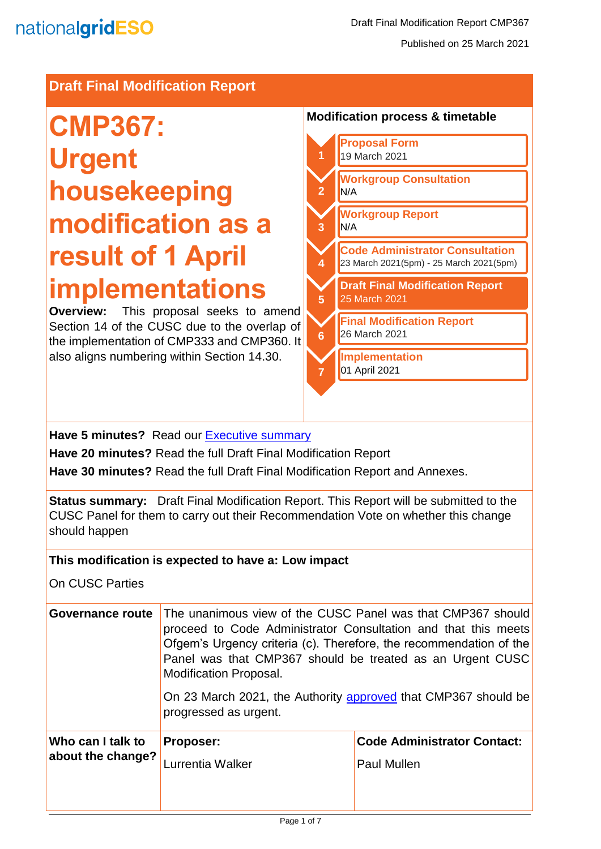# **Draft Final Modification Report**

# **CMP367: Urgent housekeeping modification as a result of 1 April implementations**

**Overview:** This proposal seeks to amend Section 14 of the CUSC due to the overlap of the implementation of CMP333 and CMP360. It also aligns numbering within Section 14.30.

# **Modification process & timetable**



**Have 5 minutes?** Read our Executive summary

**Have 20 minutes?** Read the full Draft Final Modification Report

**Have 30 minutes?** Read the full Draft Final Modification Report and Annexes.

**Status summary:** Draft Final Modification Report. This Report will be submitted to the CUSC Panel for them to carry out their Recommendation Vote on whether this change should happen

#### **This modification is expected to have a: Low impact**

On CUSC Parties

| Governance route  | The unanimous view of the CUSC Panel was that CMP367 should<br>proceed to Code Administrator Consultation and that this meets<br>Ofgem's Urgency criteria (c). Therefore, the recommendation of the<br>Panel was that CMP367 should be treated as an Urgent CUSC<br><b>Modification Proposal.</b><br>On 23 March 2021, the Authority approved that CMP367 should be<br>progressed as urgent. |                                    |
|-------------------|----------------------------------------------------------------------------------------------------------------------------------------------------------------------------------------------------------------------------------------------------------------------------------------------------------------------------------------------------------------------------------------------|------------------------------------|
| Who can I talk to | <b>Proposer:</b>                                                                                                                                                                                                                                                                                                                                                                             | <b>Code Administrator Contact:</b> |
| about the change? | Lurrentia Walker                                                                                                                                                                                                                                                                                                                                                                             | <b>Paul Mullen</b>                 |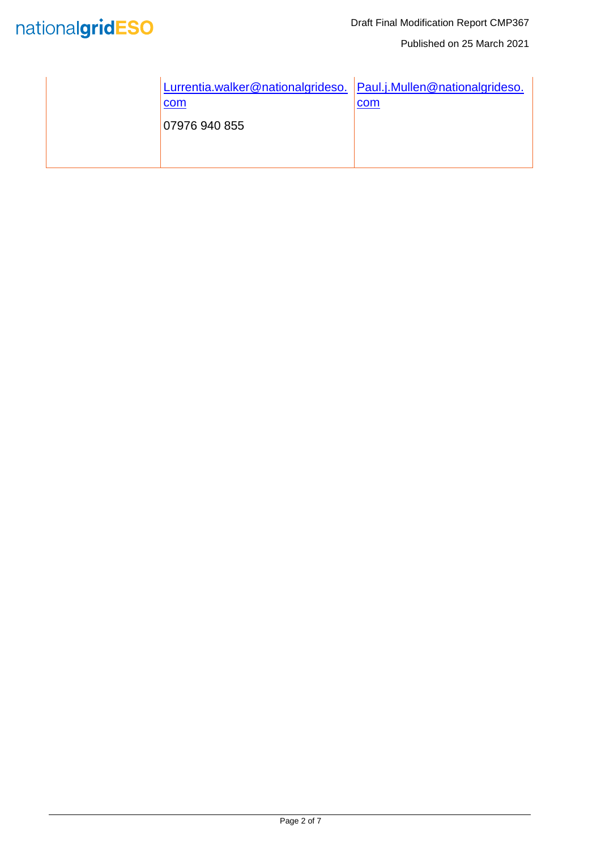

Published on 25 March 2021

| Lurrentia.walker@nationalgrideso. Paul.j.Mullen@nationalgrideso. |     |
|------------------------------------------------------------------|-----|
| com<br>07976 940 855                                             | com |
|                                                                  |     |
|                                                                  |     |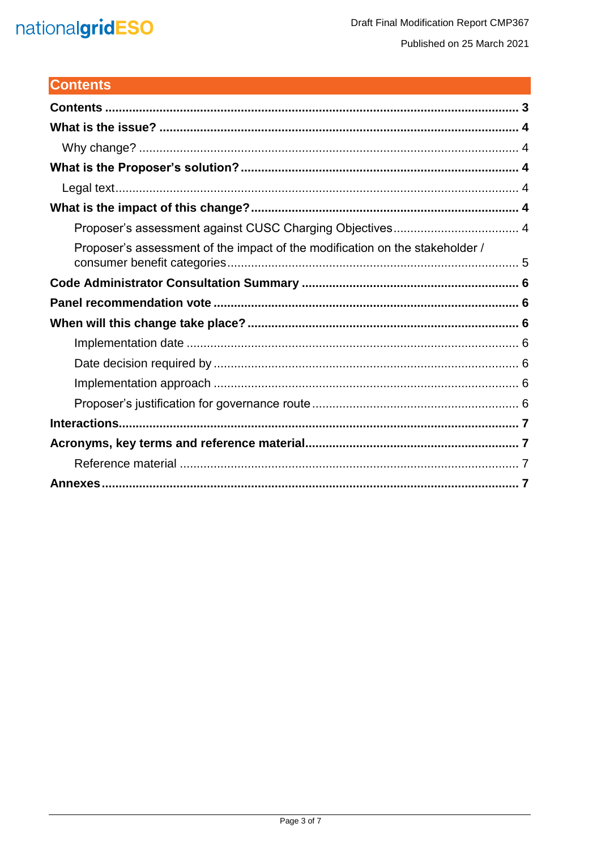# nationalgridESO

# <span id="page-2-0"></span>**Contents**

| Proposer's assessment of the impact of the modification on the stakeholder / |
|------------------------------------------------------------------------------|
|                                                                              |
|                                                                              |
|                                                                              |
|                                                                              |
|                                                                              |
|                                                                              |
|                                                                              |
|                                                                              |
|                                                                              |
|                                                                              |
|                                                                              |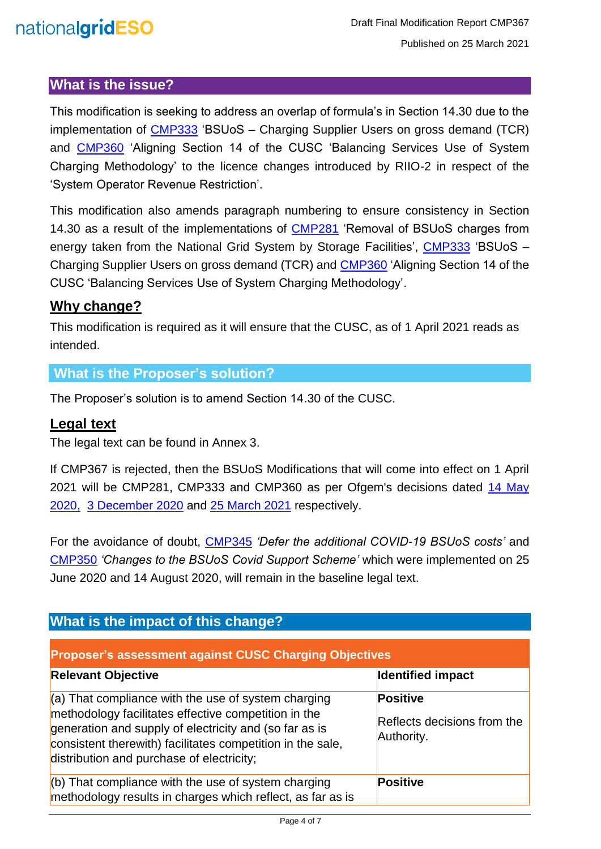# nationalgridESO

# <span id="page-3-0"></span>**What is the issue?**

This modification is seeking to address an overlap of formula's in Section 14.30 due to the implementation of [CMP333](https://www.nationalgrideso.com/industry-information/codes/connection-and-use-system-code-cusc-old/modifications/cmp333-bsuos) 'BSUoS – Charging Supplier Users on gross demand (TCR) and [CMP360](https://www.nationalgrideso.com/industry-information/codes/connection-and-use-system-code-cusc-old/modifications/cmp360-aligning) 'Aligning Section 14 of the CUSC 'Balancing Services Use of System Charging Methodology' to the licence changes introduced by RIIO-2 in respect of the 'System Operator Revenue Restriction'.

This modification also amends paragraph numbering to ensure consistency in Section 14.30 as a result of the implementations of [CMP281](https://www.nationalgrideso.com/industry-information/codes/connection-and-use-system-code-cusc-old/modifications/cmp281-removal) 'Removal of BSUoS charges from energy taken from the National Grid System by Storage Facilities', [CMP333](https://www.nationalgrideso.com/industry-information/codes/connection-and-use-system-code-cusc-old/modifications/cmp333-bsuos) 'BSUoS -Charging Supplier Users on gross demand (TCR) and [CMP360](https://www.nationalgrideso.com/industry-information/codes/connection-and-use-system-code-cusc-old/modifications/cmp360-aligning) 'Aligning Section 14 of the CUSC 'Balancing Services Use of System Charging Methodology'.

### <span id="page-3-1"></span>**Why change?**

This modification is required as it will ensure that the CUSC, as of 1 April 2021 reads as intended.

# <span id="page-3-2"></span>**What is the Proposer's solution?**

The Proposer's solution is to amend Section 14.30 of the CUSC.

## <span id="page-3-3"></span>**Legal text**

The legal text can be found in Annex 3.

If CMP367 is rejected, then the BSUoS Modifications that will come into effect on 1 April 2021 will be CMP281, CMP333 and CMP360 as per Ofgem's decisions dated [14 May](https://www.nationalgrideso.com/document/169146/download)  [2020,](https://www.nationalgrideso.com/document/169146/download) [3 December 2020](https://www.nationalgrideso.com/document/182286/download) and [25 March 2021](https://www.nationalgrideso.com/document/188862/download) respectively.

For the avoidance of doubt, [CMP345](https://www.nationalgrideso.com/industry-information/codes/connection-and-use-system-code-cusc-old/modifications/cmp345-defer) *'Defer the additional COVID-19 BSUoS costs'* and [CMP350](https://www.nationalgrideso.com/industry-information/codes/connection-and-use-system-code-cusc-old/modifications/cmp350-changes) *'Changes to the BSUoS Covid Support Scheme'* which were implemented on 25 June 2020 and 14 August 2020, will remain in the baseline legal text.

<span id="page-3-5"></span><span id="page-3-4"></span>

| What is the impact of this change?                                                                                                                                                                                                                                                 |                                                              |  |
|------------------------------------------------------------------------------------------------------------------------------------------------------------------------------------------------------------------------------------------------------------------------------------|--------------------------------------------------------------|--|
| <b>Proposer's assessment against CUSC Charging Objectives</b>                                                                                                                                                                                                                      |                                                              |  |
| <b>Relevant Objective</b>                                                                                                                                                                                                                                                          | <b>Identified impact</b>                                     |  |
| $(a)$ That compliance with the use of system charging<br>methodology facilitates effective competition in the<br>generation and supply of electricity and (so far as is<br>consistent therewith) facilitates competition in the sale,<br>distribution and purchase of electricity; | <b>Positive</b><br>Reflects decisions from the<br>Authority. |  |
| (b) That compliance with the use of system charging<br>methodology results in charges which reflect, as far as is                                                                                                                                                                  | <b>Positive</b>                                              |  |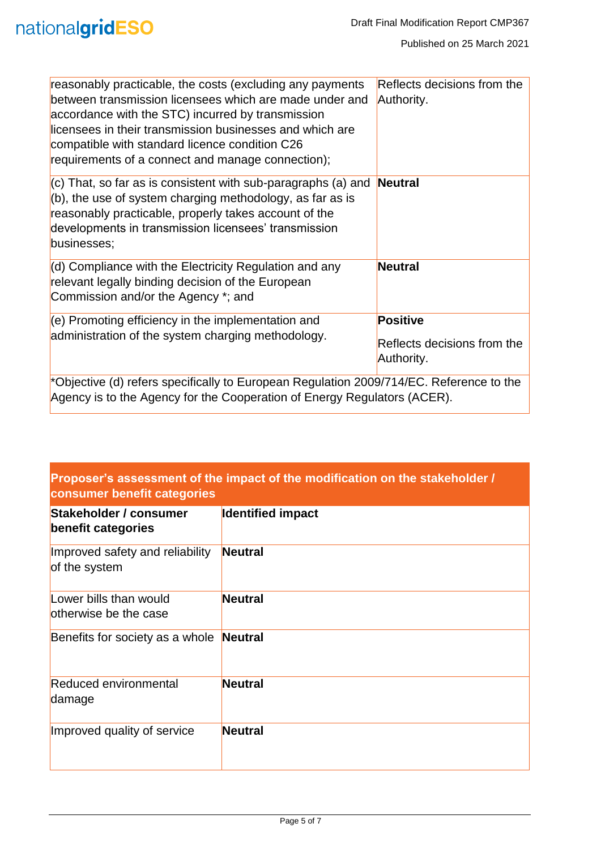| reasonably practicable, the costs (excluding any payments<br>between transmission licensees which are made under and<br>accordance with the STC) incurred by transmission<br>licensees in their transmission businesses and which are<br>compatible with standard licence condition C26<br>requirements of a connect and manage connection); | Reflects decisions from the<br>Authority.                    |
|----------------------------------------------------------------------------------------------------------------------------------------------------------------------------------------------------------------------------------------------------------------------------------------------------------------------------------------------|--------------------------------------------------------------|
| $ $ (c) That, so far as is consistent with sub-paragraphs (a) and<br>(b), the use of system charging methodology, as far as is<br>reasonably practicable, properly takes account of the<br>developments in transmission licensees' transmission<br>businesses;                                                                               | Neutral                                                      |
| $(d)$ Compliance with the Electricity Regulation and any<br>relevant legally binding decision of the European<br>Commission and/or the Agency *; and                                                                                                                                                                                         | Neutral                                                      |
| $(e)$ Promoting efficiency in the implementation and<br>administration of the system charging methodology.                                                                                                                                                                                                                                   | <b>Positive</b><br>Reflects decisions from the<br>Authority. |
| *Objective (d) refers specifically to European Regulation 2009/714/EC. Reference to the                                                                                                                                                                                                                                                      |                                                              |

Agency is to the Agency for the Cooperation of Energy Regulators (ACER).

### <span id="page-4-0"></span>**Proposer's assessment of the impact of the modification on the stakeholder / consumer benefit categories**

| Stakeholder / consumer<br><b>benefit categories</b> | <b>Identified impact</b> |  |  |
|-----------------------------------------------------|--------------------------|--|--|
| Improved safety and reliability<br>of the system    | <b>Neutral</b>           |  |  |
| Lower bills than would<br>otherwise be the case     | <b>Neutral</b>           |  |  |
| Benefits for society as a whole                     | Neutral                  |  |  |
| <b>Reduced environmental</b><br>damage              | <b>Neutral</b>           |  |  |
| Improved quality of service                         | <b>Neutral</b>           |  |  |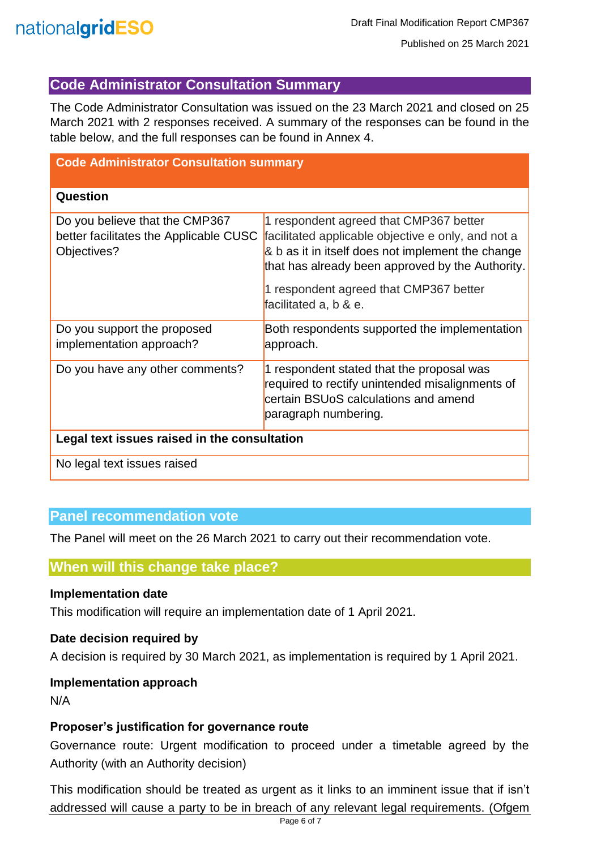

# <span id="page-5-0"></span>**Code Administrator Consultation Summary**

The Code Administrator Consultation was issued on the 23 March 2021 and closed on 25 March 2021 with 2 responses received. A summary of the responses can be found in the table below, and the full responses can be found in Annex 4.

| <b>Code Administrator Consultation summary</b>                                          |                                                                                                                                                                                                                                                                          |  |
|-----------------------------------------------------------------------------------------|--------------------------------------------------------------------------------------------------------------------------------------------------------------------------------------------------------------------------------------------------------------------------|--|
| Question                                                                                |                                                                                                                                                                                                                                                                          |  |
| Do you believe that the CMP367<br>better facilitates the Applicable CUSC<br>Objectives? | 1 respondent agreed that CMP367 better<br>facilitated applicable objective e only, and not a<br>& b as it in itself does not implement the change<br>that has already been approved by the Authority.<br>1 respondent agreed that CMP367 better<br>facilitated a, b & e. |  |
| Do you support the proposed<br>implementation approach?                                 | Both respondents supported the implementation<br>approach.                                                                                                                                                                                                               |  |
| Do you have any other comments?                                                         | 1 respondent stated that the proposal was<br>required to rectify unintended misalignments of<br>certain BSUoS calculations and amend<br>paragraph numbering.                                                                                                             |  |
| Legal text issues raised in the consultation                                            |                                                                                                                                                                                                                                                                          |  |
| No legal text issues raised                                                             |                                                                                                                                                                                                                                                                          |  |

#### <span id="page-5-1"></span>**Panel recommendation vote**

The Panel will meet on the 26 March 2021 to carry out their recommendation vote.

#### <span id="page-5-2"></span>**When will this change take place?**

#### <span id="page-5-3"></span>**Implementation date**

This modification will require an implementation date of 1 April 2021.

#### <span id="page-5-4"></span>**Date decision required by**

A decision is required by 30 March 2021, as implementation is required by 1 April 2021.

#### <span id="page-5-5"></span>**Implementation approach**

N/A

#### <span id="page-5-6"></span>**Proposer's justification for governance route**

Governance route: Urgent modification to proceed under a timetable agreed by the Authority (with an Authority decision)

This modification should be treated as urgent as it links to an imminent issue that if isn't addressed will cause a party to be in breach of any relevant legal requirements. (Ofgem